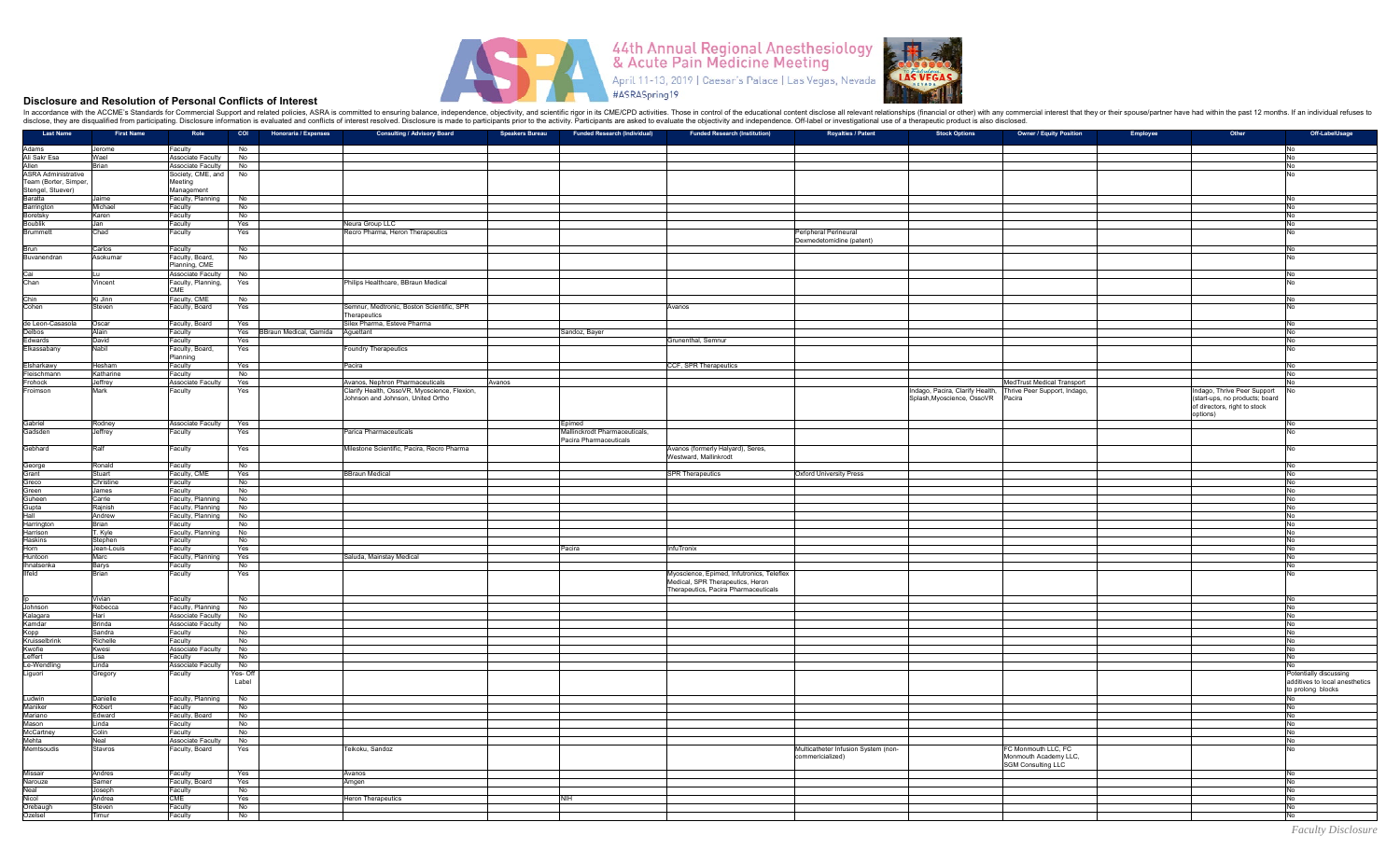

## **Disclosure and Resolution of Personal Conflicts of Interest**

In accordance with the ACCME's Standards for Commercial Support and related policies, ASRA is committed to ensuring balance, independence, objectivity, and scientific rigor in its CME/CPD activities. Those in control of th disclose, they are disqualified from participating. Disclosure information is evaluated and conflicts of interest resolved. Disclosure is made to participants prior to the activity. Participants are asked to evaluate the o

| <b>Last Name</b>             | <b>First Name</b> | Role                     | COI Honoraria / Expenses             | <b>Consulting / Advisory Board</b>           | <b>Speakers Bureau</b> | Funded Research (Individual)  | <b>Funded Research (Institution)</b>      | <b>Royalties / Patent</b>           | <b>Stock Options</b>                                        | <b>Owner / Equity Position</b> | Employee<br>Other              | Off-LabelUsage                 |
|------------------------------|-------------------|--------------------------|--------------------------------------|----------------------------------------------|------------------------|-------------------------------|-------------------------------------------|-------------------------------------|-------------------------------------------------------------|--------------------------------|--------------------------------|--------------------------------|
|                              |                   |                          |                                      |                                              |                        |                               |                                           |                                     |                                                             |                                |                                |                                |
| Adams<br>Ali Sakr Esa        | Jerome            | Faculty                  | No                                   |                                              |                        |                               |                                           |                                     |                                                             |                                |                                | No                             |
|                              | Wael              | Associate Faculty No     |                                      |                                              |                        |                               |                                           |                                     |                                                             |                                |                                | No                             |
| Allen                        | Brian             | Associate Faculty        | No                                   |                                              |                        |                               |                                           |                                     |                                                             |                                |                                | No                             |
| <b>ASRA Administrative</b>   |                   | Society, CME, and        | No                                   |                                              |                        |                               |                                           |                                     |                                                             |                                |                                | <b>INo</b>                     |
| Team (Borter, Simper,        |                   | Meeting                  |                                      |                                              |                        |                               |                                           |                                     |                                                             |                                |                                |                                |
|                              |                   | Management               |                                      |                                              |                        |                               |                                           |                                     |                                                             |                                |                                |                                |
| Stengel, Stuever)<br>Baratta | <b>Jaime</b>      |                          |                                      |                                              |                        |                               |                                           |                                     |                                                             |                                |                                | <b>No</b>                      |
|                              |                   | Faculty, Planning        | <b>No</b>                            |                                              |                        |                               |                                           |                                     |                                                             |                                |                                |                                |
| Barrington                   | Michael           | Faculty                  | No                                   |                                              |                        |                               |                                           |                                     |                                                             |                                |                                | No                             |
| Boretsky                     | Karen             | Faculty                  | No                                   |                                              |                        |                               |                                           |                                     |                                                             |                                |                                | No                             |
| <b>Boublik</b>               | Jan.              | Faculty                  | Yes                                  | Neura Group LLC                              |                        |                               |                                           |                                     |                                                             |                                |                                | No                             |
| Brummett                     | Chad              | Faculty                  | Yes                                  | Recro Pharma, Heron Therapeutics             |                        |                               |                                           | Peripheral Perineural               |                                                             |                                |                                | No                             |
|                              |                   |                          |                                      |                                              |                        |                               |                                           | Dexmedetomidine (patent)            |                                                             |                                |                                |                                |
| <b>Brun</b>                  | Carlos            | Faculty                  | No                                   |                                              |                        |                               |                                           |                                     |                                                             |                                |                                | No                             |
| Buvanendran                  | Asokumar          | Faculty, Board,          | No                                   |                                              |                        |                               |                                           |                                     |                                                             |                                |                                | <b>No</b>                      |
|                              |                   | Planning, CME            |                                      |                                              |                        |                               |                                           |                                     |                                                             |                                |                                |                                |
|                              |                   |                          |                                      |                                              |                        |                               |                                           |                                     |                                                             |                                |                                |                                |
| Cai<br>Chan                  | Lu                | Associate Faculty        | No                                   |                                              |                        |                               |                                           |                                     |                                                             |                                |                                | No                             |
|                              | Vincent           | Faculty, Planning,       | Yes                                  | Philips Healthcare, BBraun Medical           |                        |                               |                                           |                                     |                                                             |                                |                                | <b>No</b>                      |
|                              |                   | <b>CMF</b>               |                                      |                                              |                        |                               |                                           |                                     |                                                             |                                |                                |                                |
| Chin                         | Ki Jinn           | Faculty, CME             | No                                   |                                              |                        |                               |                                           |                                     |                                                             |                                |                                | No                             |
| Cohen                        | Steven            | Faculty, Board           | Yes                                  | Semnur, Medtronic, Boston Scientific, SPR    |                        |                               | Avanos                                    |                                     |                                                             |                                |                                | No                             |
|                              |                   |                          |                                      | Therapeutics                                 |                        |                               |                                           |                                     |                                                             |                                |                                |                                |
| de Leon-Casasola             | Oscar             | Faculty, Board           | Yes                                  | Silex Pharma, Esteve Pharma                  |                        |                               |                                           |                                     |                                                             |                                |                                | <b>INo</b>                     |
| Delbos                       | Alain             | Faculty                  | Yes BBraun Medical, Gamida Aguettant |                                              |                        | Sandoz, Bayer                 |                                           |                                     |                                                             |                                |                                | No                             |
| <b>Fdwards</b>               | David             | Faculty                  | Yes                                  |                                              |                        |                               | Grunenthal, Semnur                        |                                     |                                                             |                                |                                | No                             |
|                              |                   |                          |                                      |                                              |                        |                               |                                           |                                     |                                                             |                                |                                |                                |
| Elkassabany                  | Nabil             | Faculty, Board,          | Yes                                  | <b>Foundry Therapeutics</b>                  |                        |                               |                                           |                                     |                                                             |                                |                                | No                             |
|                              |                   | Planning                 |                                      |                                              |                        |                               |                                           |                                     |                                                             |                                |                                |                                |
| Elsharkawy                   | Hesham            | Faculty                  | Yes                                  | Pacira                                       |                        |                               | CCF, SPR Therapeutics                     |                                     |                                                             |                                |                                | No                             |
| Fleischmann                  | Katharine         | Faculty                  | No                                   |                                              |                        |                               |                                           |                                     |                                                             |                                |                                | <b>INo</b>                     |
| Frohock                      | Jeffrey           | <b>Associate Faculty</b> | Yes                                  | Avanos, Nephron Pharmaceuticals              | Avanos                 |                               |                                           |                                     |                                                             | MedTrust Medical Transport     |                                | <b>No</b>                      |
| Froimson                     | Mark              | Faculty                  | Yes                                  | Clarify Health, OssoVR, Myoscience, Flexion, |                        |                               |                                           |                                     | ndago, Pacira, Clarify Health, Thrive Peer Support, Indago, |                                | Indago, Thrive Peer Support    |                                |
|                              |                   |                          |                                      | Johnson and Johnson, United Ortho            |                        |                               |                                           |                                     | Splash, Myoscience, OssoVR                                  | Pacira                         | (start-ups, no products; board |                                |
|                              |                   |                          |                                      |                                              |                        |                               |                                           |                                     |                                                             |                                | of directors, right to stock   |                                |
|                              |                   |                          |                                      |                                              |                        |                               |                                           |                                     |                                                             |                                | options)                       |                                |
|                              |                   |                          |                                      |                                              |                        |                               |                                           |                                     |                                                             |                                |                                |                                |
| Gabriel                      | Rodney            | Associate Faculty        | Yes                                  |                                              |                        | Epimed                        |                                           |                                     |                                                             |                                |                                | No                             |
| Gadsden                      | Jeffrey           | Faculty                  | Yes                                  | Parica Pharmaceuticals                       |                        | Mallinckrodt Pharmaceuticals, |                                           |                                     |                                                             |                                |                                | <b>No</b>                      |
|                              |                   |                          |                                      |                                              |                        | Pacira Pharmaceuticals        |                                           |                                     |                                                             |                                |                                |                                |
| Gebhard                      | Ralf              | Faculty                  | Yes                                  | Milestone Scientific, Pacira, Recro Pharma   |                        |                               | Avanos (formerly Halyard), Seres,         |                                     |                                                             |                                |                                | No                             |
|                              |                   |                          |                                      |                                              |                        |                               | Westward, Mallinkrodt                     |                                     |                                                             |                                |                                |                                |
|                              | Ronald            | Faculty                  | No                                   |                                              |                        |                               |                                           |                                     |                                                             |                                |                                | No                             |
| George<br>Grant              | Stuart            | Faculty, CME             | Yes                                  | <b>BBraun Medical</b>                        |                        |                               | <b>SPR Therapeutics</b>                   | <b>Oxford University Press</b>      |                                                             |                                |                                | <b>No</b>                      |
|                              |                   |                          |                                      |                                              |                        |                               |                                           |                                     |                                                             |                                |                                |                                |
| Greco                        | Christine         | Faculty                  | No                                   |                                              |                        |                               |                                           |                                     |                                                             |                                |                                | No                             |
| Green                        | James             | Faculty                  | No                                   |                                              |                        |                               |                                           |                                     |                                                             |                                |                                | No                             |
| Guheen                       | Carrie            | Faculty, Planning        | No                                   |                                              |                        |                               |                                           |                                     |                                                             |                                |                                | No                             |
| Gupta<br>Hall                | Rajnish           | Faculty, Planning        | No                                   |                                              |                        |                               |                                           |                                     |                                                             |                                |                                | No                             |
|                              | Andrew            | Faculty, Planning        | No                                   |                                              |                        |                               |                                           |                                     |                                                             |                                |                                | <b>No</b>                      |
| Harrington                   | Brian             | Faculty                  | No                                   |                                              |                        |                               |                                           |                                     |                                                             |                                |                                | No                             |
| Harrison                     | T. Kyle           | Faculty, Planning        | No                                   |                                              |                        |                               |                                           |                                     |                                                             |                                |                                | No                             |
| Haskins                      | Stephen           | Faculty                  | No                                   |                                              |                        |                               |                                           |                                     |                                                             |                                |                                | No                             |
|                              |                   |                          |                                      |                                              |                        |                               |                                           |                                     |                                                             |                                |                                |                                |
| Horn                         | Jean-Louis        | Faculty                  | Yes                                  |                                              |                        | Pacira                        | InfuTronix                                |                                     |                                                             |                                |                                | No                             |
| Huntoon                      | Marc              | Faculty, Planning        | Yes                                  | Saluda, Mainstay Medical                     |                        |                               |                                           |                                     |                                                             |                                |                                | <b>No</b>                      |
| Ihnatsenka                   | Barys             | Faculty                  | No                                   |                                              |                        |                               |                                           |                                     |                                                             |                                |                                | No                             |
| <b>Ilfeld</b>                | Brian             | Faculty                  | Yes                                  |                                              |                        |                               | Myoscience, Epimed, Infutronics, Teleflex |                                     |                                                             |                                |                                | <b>INo</b>                     |
|                              |                   |                          |                                      |                                              |                        |                               | Medical, SPR Therapeutics, Heron          |                                     |                                                             |                                |                                |                                |
|                              |                   |                          |                                      |                                              |                        |                               | Therapeutics, Pacira Pharmaceuticals      |                                     |                                                             |                                |                                |                                |
|                              | Vivian            | Faculty                  | No                                   |                                              |                        |                               |                                           |                                     |                                                             |                                |                                | INo                            |
|                              |                   |                          |                                      |                                              |                        |                               |                                           |                                     |                                                             |                                |                                |                                |
| Johnson                      | Rebecca<br>Hari   | Faculty, Planning        | No                                   |                                              |                        |                               |                                           |                                     |                                                             |                                |                                | No                             |
| Kalagara                     |                   | Associate Faculty        | No                                   |                                              |                        |                               |                                           |                                     |                                                             |                                |                                | No                             |
| Kamdar                       | Brinda            | Associate Faculty        | No                                   |                                              |                        |                               |                                           |                                     |                                                             |                                |                                | No                             |
| Kopp                         | Sandra            | Faculty                  | No.                                  |                                              |                        |                               |                                           |                                     |                                                             |                                |                                | No                             |
| Kruisselbrink                | Richelle          | Faculty                  | No                                   |                                              |                        |                               |                                           |                                     |                                                             |                                |                                | No                             |
| Kwofie                       | Kwesi             | <b>Associate Faculty</b> | No                                   |                                              |                        |                               |                                           |                                     |                                                             |                                |                                | No                             |
| Leffert                      | Lisa              | Faculty                  | No                                   |                                              |                        |                               |                                           |                                     |                                                             |                                |                                | No                             |
| Le-Wendling                  | Linda             | Associate Faculty        | No                                   |                                              |                        |                               |                                           |                                     |                                                             |                                |                                |                                |
|                              |                   |                          | Yes-Off                              |                                              |                        |                               |                                           |                                     |                                                             |                                |                                |                                |
| Liguori                      | Gregory           | Faculty                  |                                      |                                              |                        |                               |                                           |                                     |                                                             |                                |                                | Potentially discussing         |
|                              |                   |                          | Label                                |                                              |                        |                               |                                           |                                     |                                                             |                                |                                | additives to local anesthetics |
|                              |                   |                          |                                      |                                              |                        |                               |                                           |                                     |                                                             |                                |                                | to prolong blocks              |
| Ludwin                       | Danielle          | Faculty, Planning        | No                                   |                                              |                        |                               |                                           |                                     |                                                             |                                |                                | No                             |
| Maniker                      | Robert            | Faculty                  | No                                   |                                              |                        |                               |                                           |                                     |                                                             |                                |                                | No                             |
| Mariano                      | Edward            | Faculty, Board           | No                                   |                                              |                        |                               |                                           |                                     |                                                             |                                |                                | <b>No</b>                      |
| Mason                        | Linda             | Faculty                  | No                                   |                                              |                        |                               |                                           |                                     |                                                             |                                |                                | No                             |
| McCartney                    | Colin             | Faculty                  | No                                   |                                              |                        |                               |                                           |                                     |                                                             |                                |                                | No                             |
| Mehta                        | Neal              | <b>Associate Faculty</b> | No                                   |                                              |                        |                               |                                           |                                     |                                                             |                                |                                | No                             |
|                              |                   |                          |                                      |                                              |                        |                               |                                           |                                     |                                                             |                                |                                |                                |
| Memtsoudis                   | Stavros           | Faculty, Board           | Yes                                  | Teikoku, Sandoz                              |                        |                               |                                           | Multicatheter Infusion System (non- |                                                             | FC Monmouth LLC, FC            |                                | <b>No</b>                      |
|                              |                   |                          |                                      |                                              |                        |                               |                                           | commericialized)                    |                                                             | Monmouth Academy LLC,          |                                |                                |
|                              |                   |                          |                                      |                                              |                        |                               |                                           |                                     |                                                             | SGM Consulting LLC             |                                |                                |
| Missair                      | Andres            | Faculty                  | Yes                                  | Avanos                                       |                        |                               |                                           |                                     |                                                             |                                |                                | <b>INo</b>                     |
| Narouze                      | Samer             | Faculty, Board           | Yes                                  | Amgen                                        |                        |                               |                                           |                                     |                                                             |                                |                                | No                             |
| Neal                         | Joseph            | Faculty                  | No                                   |                                              |                        |                               |                                           |                                     |                                                             |                                |                                | No                             |
| Nicol                        | Andrea            | <b>CME</b>               | Yes                                  | <b>Heron Therapeutics</b>                    |                        | <b>NIH</b>                    |                                           |                                     |                                                             |                                |                                | No                             |
|                              |                   |                          |                                      |                                              |                        |                               |                                           |                                     |                                                             |                                |                                |                                |
| Orebaugh                     | Steven            | Faculty                  | No                                   |                                              |                        |                               |                                           |                                     |                                                             |                                |                                | No                             |
| Ozelsel                      | Timur             | Faculty                  | No                                   |                                              |                        |                               |                                           |                                     |                                                             |                                |                                | No                             |